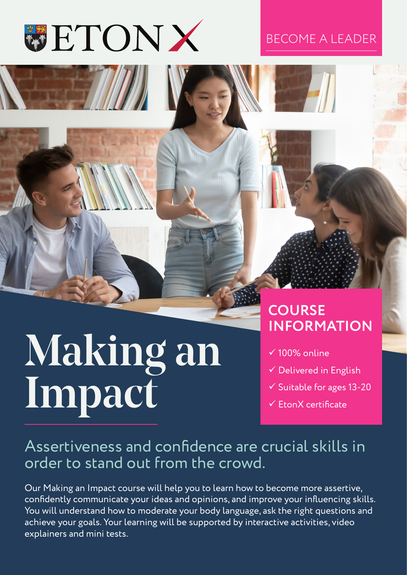

#### BECOME A LEADER

# Making an Impact

### **COURSE INFORMATION**

- $\sqrt{100\%}$  online
- $\checkmark$  Delivered in English
- $\checkmark$  Suitable for ages 13-20
- $\checkmark$  FronX certificate

### Assertiveness and confidence are crucial skills in order to stand out from the crowd.

Our Making an Impact course will help you to learn how to become more assertive, confidently communicate your ideas and opinions, and improve your influencing skills. You will understand how to moderate your body language, ask the right questions and achieve your goals. Your learning will be supported by interactive activities, video explainers and mini tests.